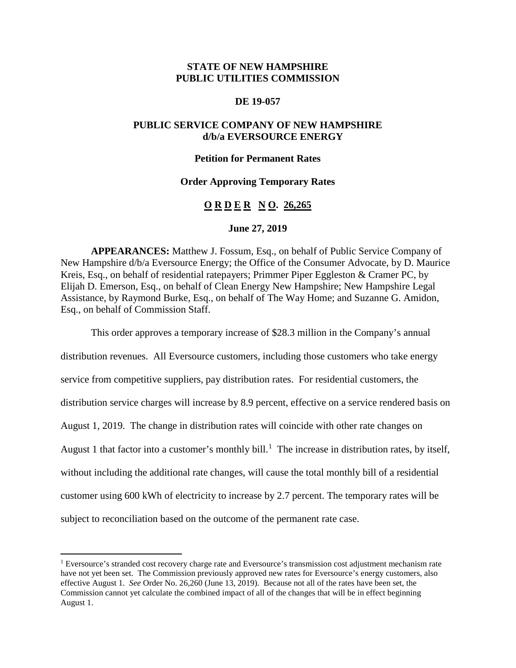# **STATE OF NEW HAMPSHIRE PUBLIC UTILITIES COMMISSION**

### **DE 19-057**

## **PUBLIC SERVICE COMPANY OF NEW HAMPSHIRE d/b/a EVERSOURCE ENERGY**

#### **Petition for Permanent Rates**

### **Order Approving Temporary Rates**

## **O R D E R N O. 26,265**

### **June 27, 2019**

**APPEARANCES:** Matthew J. Fossum, Esq., on behalf of Public Service Company of New Hampshire d/b/a Eversource Energy; the Office of the Consumer Advocate, by D. Maurice Kreis, Esq., on behalf of residential ratepayers; Primmer Piper Eggleston & Cramer PC, by Elijah D. Emerson, Esq., on behalf of Clean Energy New Hampshire; New Hampshire Legal Assistance, by Raymond Burke, Esq., on behalf of The Way Home; and Suzanne G. Amidon, Esq., on behalf of Commission Staff.

This order approves a temporary increase of \$28.3 million in the Company's annual

distribution revenues. All Eversource customers, including those customers who take energy service from competitive suppliers, pay distribution rates. For residential customers, the distribution service charges will increase by 8.9 percent, effective on a service rendered basis on August 1, 2019. The change in distribution rates will coincide with other rate changes on August [1](#page-0-0) that factor into a customer's monthly bill.<sup>1</sup> The increase in distribution rates, by itself, without including the additional rate changes, will cause the total monthly bill of a residential customer using 600 kWh of electricity to increase by 2.7 percent. The temporary rates will be subject to reconciliation based on the outcome of the permanent rate case.

<span id="page-0-0"></span> <sup>1</sup> Eversource's stranded cost recovery charge rate and Eversource's transmission cost adjustment mechanism rate have not yet been set. The Commission previously approved new rates for Eversource's energy customers, also effective August 1. *See* Order No. 26,260 (June 13, 2019). Because not all of the rates have been set, the Commission cannot yet calculate the combined impact of all of the changes that will be in effect beginning August 1.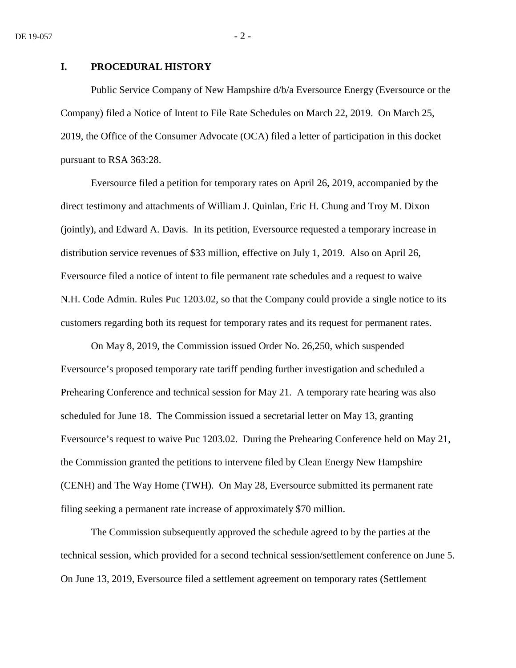## **I. PROCEDURAL HISTORY**

Public Service Company of New Hampshire d/b/a Eversource Energy (Eversource or the Company) filed a Notice of Intent to File Rate Schedules on March 22, 2019. On March 25, 2019, the Office of the Consumer Advocate (OCA) filed a letter of participation in this docket pursuant to RSA 363:28.

Eversource filed a petition for temporary rates on April 26, 2019, accompanied by the direct testimony and attachments of William J. Quinlan, Eric H. Chung and Troy M. Dixon (jointly), and Edward A. Davis. In its petition, Eversource requested a temporary increase in distribution service revenues of \$33 million, effective on July 1, 2019. Also on April 26, Eversource filed a notice of intent to file permanent rate schedules and a request to waive N.H. Code Admin. Rules Puc 1203.02, so that the Company could provide a single notice to its customers regarding both its request for temporary rates and its request for permanent rates.

On May 8, 2019, the Commission issued Order No. 26,250, which suspended Eversource's proposed temporary rate tariff pending further investigation and scheduled a Prehearing Conference and technical session for May 21. A temporary rate hearing was also scheduled for June 18. The Commission issued a secretarial letter on May 13, granting Eversource's request to waive Puc 1203.02. During the Prehearing Conference held on May 21, the Commission granted the petitions to intervene filed by Clean Energy New Hampshire (CENH) and The Way Home (TWH). On May 28, Eversource submitted its permanent rate filing seeking a permanent rate increase of approximately \$70 million.

The Commission subsequently approved the schedule agreed to by the parties at the technical session, which provided for a second technical session/settlement conference on June 5. On June 13, 2019, Eversource filed a settlement agreement on temporary rates (Settlement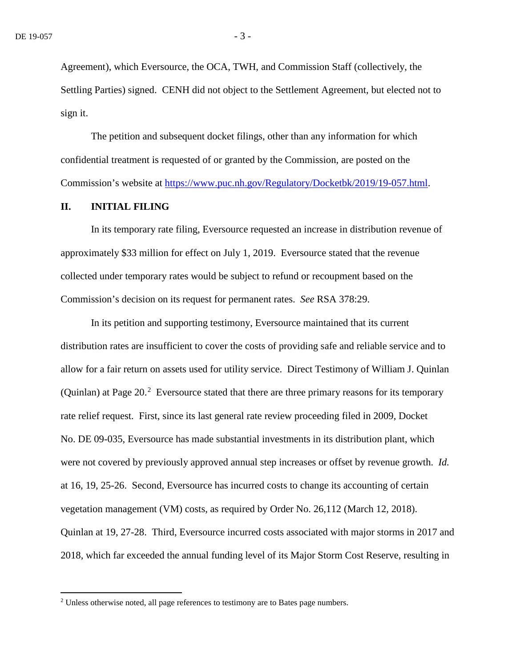Agreement), which Eversource, the OCA, TWH, and Commission Staff (collectively, the Settling Parties) signed. CENH did not object to the Settlement Agreement, but elected not to sign it.

The petition and subsequent docket filings, other than any information for which confidential treatment is requested of or granted by the Commission, are posted on the Commission's website at [https://www.puc.nh.gov/Regulatory/Docketbk/2019/19-057.html.](https://www.puc.nh.gov/Regulatory/Docketbk/2019/19-057.html)

## **II. INITIAL FILING**

In its temporary rate filing, Eversource requested an increase in distribution revenue of approximately \$33 million for effect on July 1, 2019. Eversource stated that the revenue collected under temporary rates would be subject to refund or recoupment based on the Commission's decision on its request for permanent rates. *See* RSA 378:29.

In its petition and supporting testimony, Eversource maintained that its current distribution rates are insufficient to cover the costs of providing safe and reliable service and to allow for a fair return on assets used for utility service. Direct Testimony of William J. Quinlan (Quinlan) at Page  $20<sup>2</sup>$  $20<sup>2</sup>$  Eversource stated that there are three primary reasons for its temporary rate relief request. First, since its last general rate review proceeding filed in 2009, Docket No. DE 09-035, Eversource has made substantial investments in its distribution plant, which were not covered by previously approved annual step increases or offset by revenue growth. *Id.* at 16, 19, 25-26. Second, Eversource has incurred costs to change its accounting of certain vegetation management (VM) costs, as required by Order No. 26,112 (March 12, 2018). Quinlan at 19, 27-28. Third, Eversource incurred costs associated with major storms in 2017 and 2018, which far exceeded the annual funding level of its Major Storm Cost Reserve, resulting in

<span id="page-2-0"></span><sup>&</sup>lt;sup>2</sup> Unless otherwise noted, all page references to testimony are to Bates page numbers.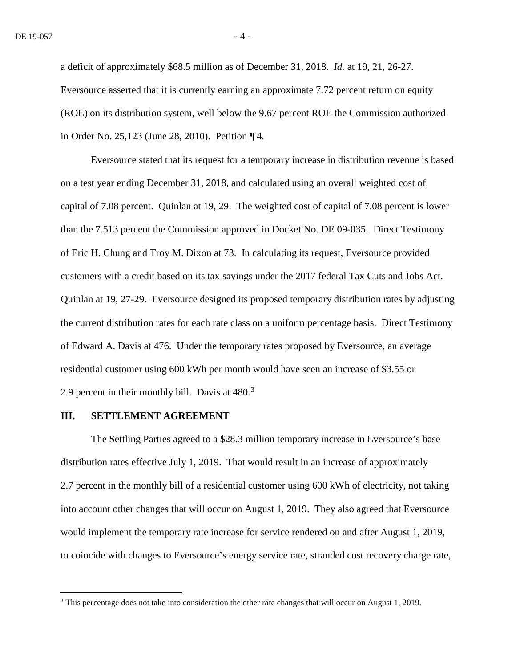a deficit of approximately \$68.5 million as of December 31, 2018. *Id.* at 19, 21, 26-27. Eversource asserted that it is currently earning an approximate 7.72 percent return on equity (ROE) on its distribution system, well below the 9.67 percent ROE the Commission authorized in Order No. 25,123 (June 28, 2010). Petition ¶ 4.

Eversource stated that its request for a temporary increase in distribution revenue is based on a test year ending December 31, 2018, and calculated using an overall weighted cost of capital of 7.08 percent. Quinlan at 19, 29. The weighted cost of capital of 7.08 percent is lower than the 7.513 percent the Commission approved in Docket No. DE 09-035. Direct Testimony of Eric H. Chung and Troy M. Dixon at 73. In calculating its request, Eversource provided customers with a credit based on its tax savings under the 2017 federal Tax Cuts and Jobs Act. Quinlan at 19, 27-29. Eversource designed its proposed temporary distribution rates by adjusting the current distribution rates for each rate class on a uniform percentage basis. Direct Testimony of Edward A. Davis at 476. Under the temporary rates proposed by Eversource, an average residential customer using 600 kWh per month would have seen an increase of \$3.55 or 2.9 percent in their monthly bill. Davis at  $480.<sup>3</sup>$  $480.<sup>3</sup>$  $480.<sup>3</sup>$ 

#### **III. SETTLEMENT AGREEMENT**

The Settling Parties agreed to a \$28.3 million temporary increase in Eversource's base distribution rates effective July 1, 2019. That would result in an increase of approximately 2.7 percent in the monthly bill of a residential customer using 600 kWh of electricity, not taking into account other changes that will occur on August 1, 2019. They also agreed that Eversource would implement the temporary rate increase for service rendered on and after August 1, 2019, to coincide with changes to Eversource's energy service rate, stranded cost recovery charge rate,

<span id="page-3-0"></span> <sup>3</sup> This percentage does not take into consideration the other rate changes that will occur on August 1, 2019.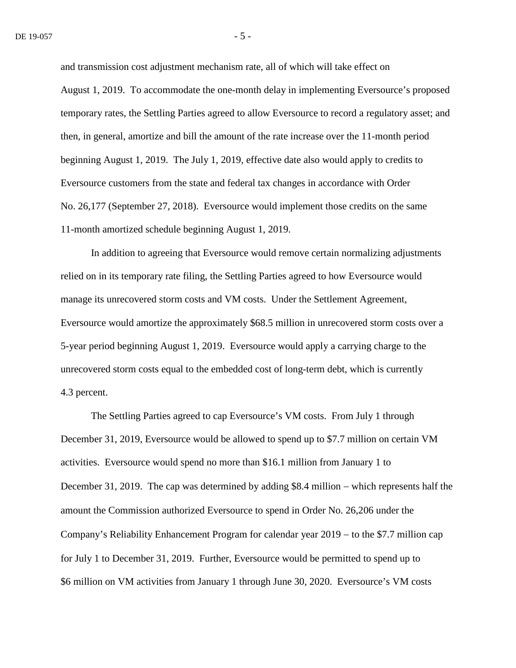and transmission cost adjustment mechanism rate, all of which will take effect on August 1, 2019. To accommodate the one-month delay in implementing Eversource's proposed temporary rates, the Settling Parties agreed to allow Eversource to record a regulatory asset; and then, in general, amortize and bill the amount of the rate increase over the 11-month period beginning August 1, 2019. The July 1, 2019, effective date also would apply to credits to Eversource customers from the state and federal tax changes in accordance with Order No. 26,177 (September 27, 2018). Eversource would implement those credits on the same 11-month amortized schedule beginning August 1, 2019.

In addition to agreeing that Eversource would remove certain normalizing adjustments relied on in its temporary rate filing, the Settling Parties agreed to how Eversource would manage its unrecovered storm costs and VM costs. Under the Settlement Agreement, Eversource would amortize the approximately \$68.5 million in unrecovered storm costs over a 5-year period beginning August 1, 2019. Eversource would apply a carrying charge to the unrecovered storm costs equal to the embedded cost of long-term debt, which is currently 4.3 percent.

The Settling Parties agreed to cap Eversource's VM costs. From July 1 through December 31, 2019, Eversource would be allowed to spend up to \$7.7 million on certain VM activities. Eversource would spend no more than \$16.1 million from January 1 to December 31, 2019. The cap was determined by adding \$8.4 million – which represents half the amount the Commission authorized Eversource to spend in Order No. 26,206 under the Company's Reliability Enhancement Program for calendar year 2019 − to the \$7.7 million cap for July 1 to December 31, 2019. Further, Eversource would be permitted to spend up to \$6 million on VM activities from January 1 through June 30, 2020. Eversource's VM costs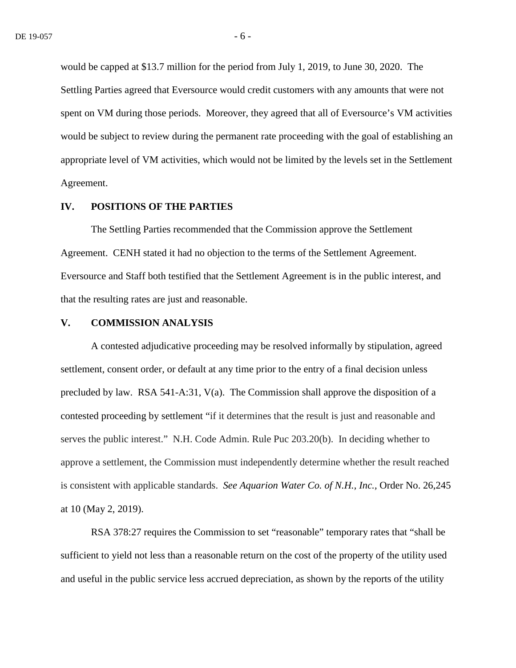would be capped at \$13.7 million for the period from July 1, 2019, to June 30, 2020. The Settling Parties agreed that Eversource would credit customers with any amounts that were not spent on VM during those periods. Moreover, they agreed that all of Eversource's VM activities would be subject to review during the permanent rate proceeding with the goal of establishing an appropriate level of VM activities, which would not be limited by the levels set in the Settlement Agreement.

### **IV. POSITIONS OF THE PARTIES**

The Settling Parties recommended that the Commission approve the Settlement Agreement. CENH stated it had no objection to the terms of the Settlement Agreement. Eversource and Staff both testified that the Settlement Agreement is in the public interest, and that the resulting rates are just and reasonable.

### **V. COMMISSION ANALYSIS**

A contested adjudicative proceeding may be resolved informally by stipulation, agreed settlement, consent order, or default at any time prior to the entry of a final decision unless precluded by law. RSA 541-A:31, V(a). The Commission shall approve the disposition of a contested proceeding by settlement "if it determines that the result is just and reasonable and serves the public interest." N.H. Code Admin. Rule Puc 203.20(b). In deciding whether to approve a settlement, the Commission must independently determine whether the result reached is consistent with applicable standards. *See Aquarion Water Co. of N.H., Inc.,* Order No. 26,245 at 10 (May 2, 2019).

RSA 378:27 requires the Commission to set "reasonable" temporary rates that "shall be sufficient to yield not less than a reasonable return on the cost of the property of the utility used and useful in the public service less accrued depreciation, as shown by the reports of the utility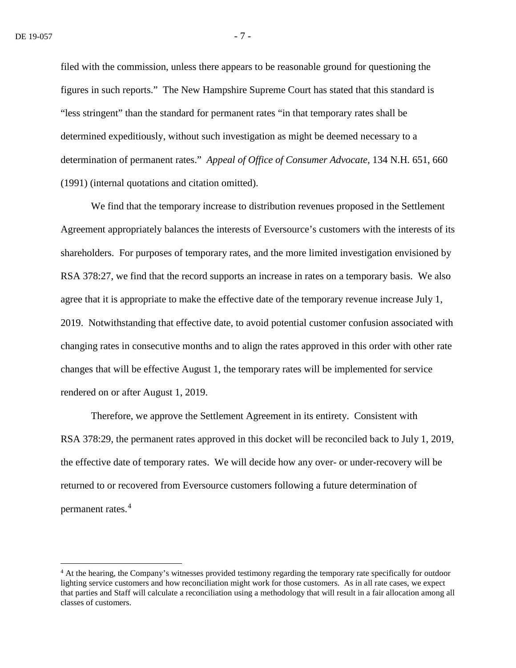filed with the commission, unless there appears to be reasonable ground for questioning the figures in such reports." The New Hampshire Supreme Court has stated that this standard is "less stringent" than the standard for permanent rates "in that temporary rates shall be determined expeditiously, without such investigation as might be deemed necessary to a determination of permanent rates." *Appeal of Office of Consumer Advocate,* 134 N.H. 651, 660 (1991) (internal quotations and citation omitted).

We find that the temporary increase to distribution revenues proposed in the Settlement Agreement appropriately balances the interests of Eversource's customers with the interests of its shareholders. For purposes of temporary rates, and the more limited investigation envisioned by RSA 378:27, we find that the record supports an increase in rates on a temporary basis. We also agree that it is appropriate to make the effective date of the temporary revenue increase July 1, 2019. Notwithstanding that effective date, to avoid potential customer confusion associated with changing rates in consecutive months and to align the rates approved in this order with other rate changes that will be effective August 1, the temporary rates will be implemented for service rendered on or after August 1, 2019.

Therefore, we approve the Settlement Agreement in its entirety. Consistent with RSA 378:29, the permanent rates approved in this docket will be reconciled back to July 1, 2019, the effective date of temporary rates. We will decide how any over- or under-recovery will be returned to or recovered from Eversource customers following a future determination of permanent rates.[4](#page-6-0)

<span id="page-6-0"></span><sup>&</sup>lt;sup>4</sup> At the hearing, the Company's witnesses provided testimony regarding the temporary rate specifically for outdoor lighting service customers and how reconciliation might work for those customers. As in all rate cases, we expect that parties and Staff will calculate a reconciliation using a methodology that will result in a fair allocation among all classes of customers.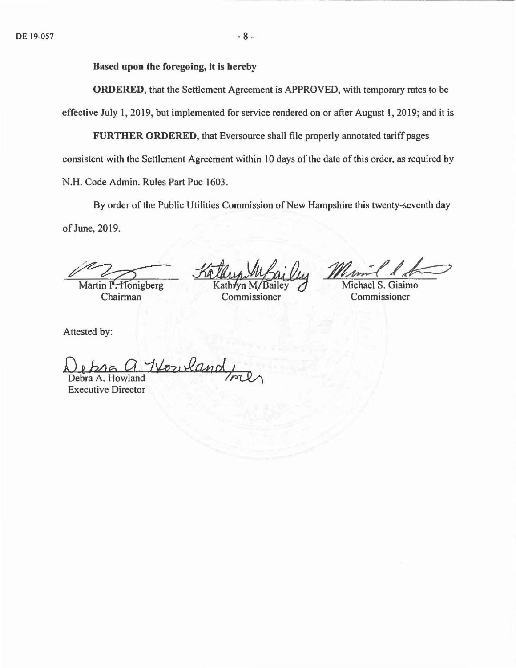Based upon the foregoing, it is hereby

ORDERED, that the Settlement Agreement is APPROVED, with temporary rates to be effective July 1, 2019, but implemented for service rendered on or after August l, 2019; and it is

FURTHER ORDERED, that Eversource shall file properly annotated tariff pages consistent with the Settlement Agreement within 10 days of the date of this order, as required by N.H. Code Admin. Rules Part Puc 1603.

By order of the Public Utilities Commission of New Hampshire this twenty-seventh day of June, 2019. F June, 2019.<br>
Martin P. Honigberg Kathyn M/Ba<br>
Chairman Commission

Michael S. Giaimo Commissioner

Attested by:

De ba *<sup>15</sup>*a. *'1.'-/-P·w.!2.Chad.* ~

Executive Director

 $A.$  Howland  $A$